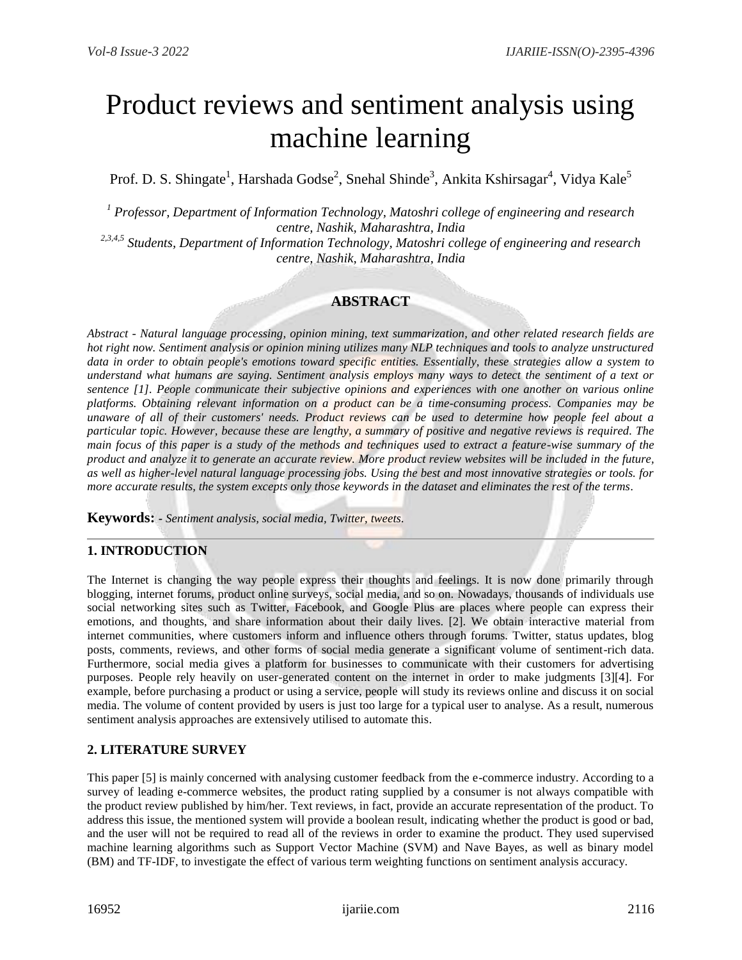# Product reviews and sentiment analysis using machine learning

Prof. D. S. Shingate<sup>1</sup>, Harshada Godse<sup>2</sup>, Snehal Shinde<sup>3</sup>, Ankita Kshirsagar<sup>4</sup>, Vidya Kale<sup>5</sup>

*<sup>1</sup> Professor, Department of Information Technology, Matoshri college of engineering and research centre, Nashik, Maharashtra, India*

*2,3,4,5 Students, Department of Information Technology, Matoshri college of engineering and research centre, Nashik, Maharashtra, India*

# **ABSTRACT**

*Abstract - Natural language processing, opinion mining, text summarization, and other related research fields are hot right now. Sentiment analysis or opinion mining utilizes many NLP techniques and tools to analyze unstructured data in order to obtain people's emotions toward specific entities. Essentially, these strategies allow a system to understand what humans are saying. Sentiment analysis employs many ways to detect the sentiment of a text or sentence [1]. People communicate their subjective opinions and experiences with one another on various online platforms. Obtaining relevant information on a product can be a time-consuming process. Companies may be unaware of all of their customers' needs. Product reviews can be used to determine how people feel about a particular topic. However, because these are lengthy, a summary of positive and negative reviews is required. The main focus of this paper is a study of the methods and techniques used to extract a feature-wise summary of the product and analyze it to generate an accurate review. More product review websites will be included in the future, as well as higher-level natural language processing jobs. Using the best and most innovative strategies or tools. for more accurate results, the system excepts only those keywords in the dataset and eliminates the rest of the terms.*

**Keywords: -** *Sentiment analysis, social media, Twitter, tweets.*

## **1. INTRODUCTION**

The Internet is changing the way people express their thoughts and feelings. It is now done primarily through blogging, internet forums, product online surveys, social media, and so on. Nowadays, thousands of individuals use social networking sites such as Twitter, Facebook, and Google Plus are places where people can express their emotions, and thoughts, and share information about their daily lives. [2]. We obtain interactive material from internet communities, where customers inform and influence others through forums. Twitter, status updates, blog posts, comments, reviews, and other forms of social media generate a significant volume of sentiment-rich data. Furthermore, social media gives a platform for businesses to communicate with their customers for advertising purposes. People rely heavily on user-generated content on the internet in order to make judgments [3][4]. For example, before purchasing a product or using a service, people will study its reviews online and discuss it on social media. The volume of content provided by users is just too large for a typical user to analyse. As a result, numerous sentiment analysis approaches are extensively utilised to automate this.

## **2. LITERATURE SURVEY**

This paper [5] is mainly concerned with analysing customer feedback from the e-commerce industry. According to a survey of leading e-commerce websites, the product rating supplied by a consumer is not always compatible with the product review published by him/her. Text reviews, in fact, provide an accurate representation of the product. To address this issue, the mentioned system will provide a boolean result, indicating whether the product is good or bad, and the user will not be required to read all of the reviews in order to examine the product. They used supervised machine learning algorithms such as Support Vector Machine (SVM) and Nave Bayes, as well as binary model (BM) and TF-IDF, to investigate the effect of various term weighting functions on sentiment analysis accuracy.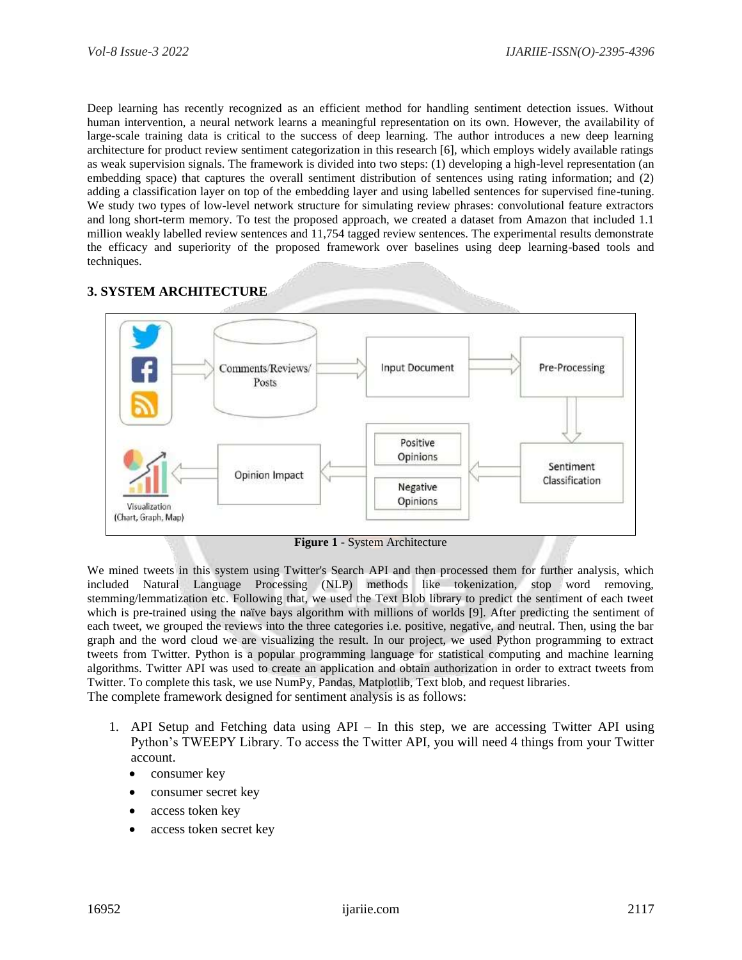Deep learning has recently recognized as an efficient method for handling sentiment detection issues. Without human intervention, a neural network learns a meaningful representation on its own. However, the availability of large-scale training data is critical to the success of deep learning. The author introduces a new deep learning architecture for product review sentiment categorization in this research [6], which employs widely available ratings as weak supervision signals. The framework is divided into two steps: (1) developing a high-level representation (an embedding space) that captures the overall sentiment distribution of sentences using rating information; and (2) adding a classification layer on top of the embedding layer and using labelled sentences for supervised fine-tuning. We study two types of low-level network structure for simulating review phrases: convolutional feature extractors and long short-term memory. To test the proposed approach, we created a dataset from Amazon that included 1.1 million weakly labelled review sentences and 11,754 tagged review sentences. The experimental results demonstrate the efficacy and superiority of the proposed framework over baselines using deep learning-based tools and techniques.

## **3. SYSTEM ARCHITECTURE**



**Figure 1 -** System Architecture

We mined tweets in this system using Twitter's Search API and then processed them for further analysis, which included Natural Language Processing (NLP) methods like tokenization, stop word removing, stemming/lemmatization etc. Following that, we used the Text Blob library to predict the sentiment of each tweet which is pre-trained using the naïve bays algorithm with millions of worlds [9]. After predicting the sentiment of each tweet, we grouped the reviews into the three categories i.e. positive, negative, and neutral. Then, using the bar graph and the word cloud we are visualizing the result. In our project, we used Python programming to extract tweets from Twitter. Python is a popular programming language for statistical computing and machine learning algorithms. Twitter API was used to create an application and obtain authorization in order to extract tweets from Twitter. To complete this task, we use NumPy, Pandas, Matplotlib, Text blob, and request libraries. The complete framework designed for sentiment analysis is as follows:

- 1. API Setup and Fetching data using API In this step, we are accessing Twitter API using Python's TWEEPY Library. To access the Twitter API, you will need 4 things from your Twitter account.
	- consumer key
	- consumer secret key
	- access token key
	- access token secret key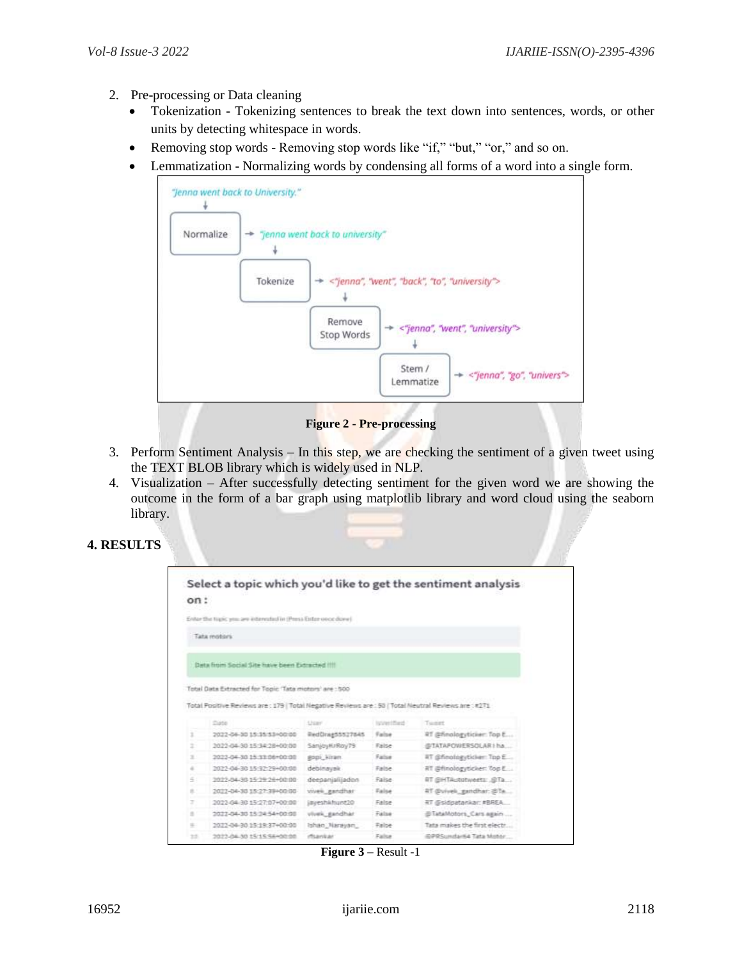- 2. Pre-processing or Data cleaning
	- Tokenization Tokenizing sentences to break the text down into sentences, words, or other units by detecting whitespace in words.
	- Removing stop words Removing stop words like "if," "but," "or," and so on.
	- Lemmatization Normalizing words by condensing all forms of a word into a single form.



**Figure 2 - Pre-processing**

- 3. Perform Sentiment Analysis In this step, we are checking the sentiment of a given tweet using the TEXT BLOB library which is widely used in NLP.
- 4. Visualization After successfully detecting sentiment for the given word we are showing the outcome in the form of a bar graph using matplotlib library and word cloud using the seaborn library.

## **4. RESULTS**

|                       |                                                                                                       |                 |            | Select a topic which you'd like to get the sentiment analysis |
|-----------------------|-------------------------------------------------------------------------------------------------------|-----------------|------------|---------------------------------------------------------------|
| cn:                   |                                                                                                       |                 |            |                                                               |
|                       | Enter the tapic you are extensied in (Press Enter weed down)                                          |                 |            |                                                               |
|                       | Tata reobles                                                                                          |                 |            |                                                               |
|                       |                                                                                                       |                 |            |                                                               |
|                       | Data from Social Site have been Extracted IIII                                                        |                 |            |                                                               |
|                       |                                                                                                       |                 |            |                                                               |
|                       |                                                                                                       |                 |            |                                                               |
|                       | Total Data Extracted for Topic 'Tata motors' are : 500                                                |                 |            |                                                               |
|                       |                                                                                                       |                 |            |                                                               |
|                       |                                                                                                       |                 |            |                                                               |
|                       | Total Positive Reviews are : 179   Total Negative Reviews are : 50   Total Neutral Reviews are : #271 |                 |            |                                                               |
|                       | Diete                                                                                                 | <b>User</b>     | Ispanified | Tuesday                                                       |
|                       | 2022-04-30 15:35:53:00:00                                                                             | RedDrag55527845 | Earlow     | RT @finalogyticker: Top E                                     |
|                       | 2022-04-30 15:34:28+00:00                                                                             | SánjoyKrRoy79   | False      | @TATAPOWERSOLAR1ha                                            |
|                       | 2022-04-30 15:33:06+00:00                                                                             | gopi kiran.     | False      | RT @finologyticker: Top E.:                                   |
| ĩ<br>ż<br>×           | 2022-04-30 15:32:29+00:00                                                                             | debinavak       | False      | 所 両finologyticker: Top E                                      |
|                       | 2022-04-30 15:39:24+00:00                                                                             | deepanjalijadon | False      | RT GHTAUtotweets: GTa                                         |
|                       | 2022-04-30 15:27:39+00:00                                                                             | vively gandhar  | False      | 27 @viveli_gandhar: 201e.                                     |
|                       | 2022-04-30 15:27:07+00:00                                                                             | jayeshkhunt20   | False      | RT @sidoatankar: #BREA                                        |
|                       | 2022-04-30 15:24:54+00:08                                                                             | vivek gandhar   | False      | @TataMotors Cars again                                        |
| ÷<br>Ξ<br>x<br>٠<br>÷ | 2022-04-30 15:19:37+00:00                                                                             | Ishan Narayan   | False      | Tata makes the first electr                                   |

**Figure 3 –** Result -1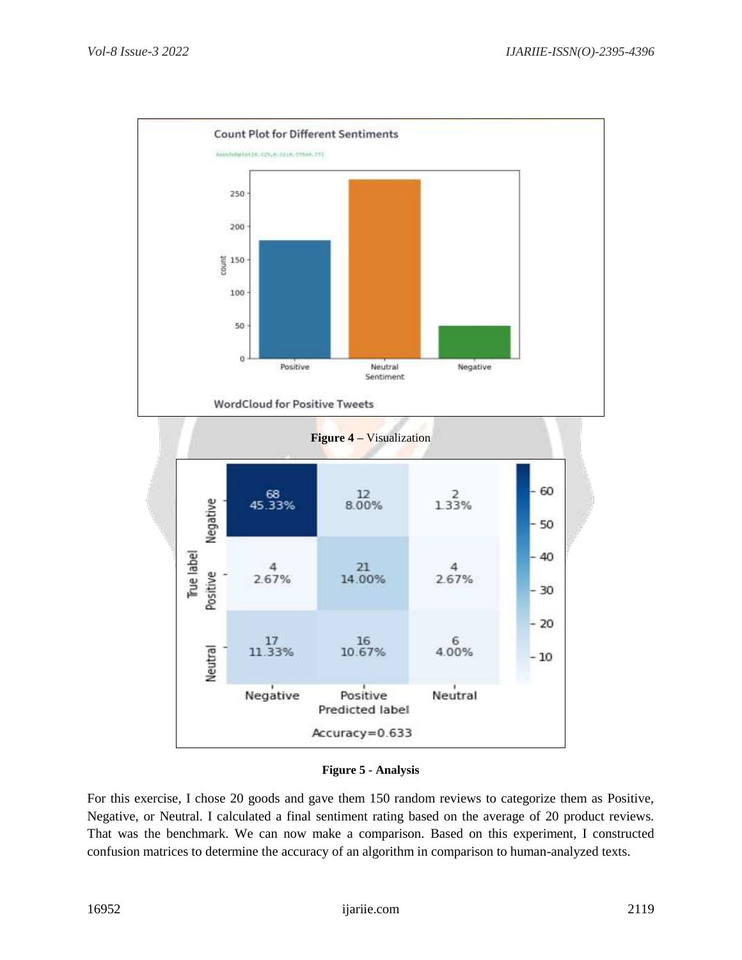

#### **Figure 5 - Analysis**

For this exercise, I chose 20 goods and gave them 150 random reviews to categorize them as Positive, Negative, or Neutral. I calculated a final sentiment rating based on the average of 20 product reviews. That was the benchmark. We can now make a comparison. Based on this experiment, I constructed confusion matrices to determine the accuracy of an algorithm in comparison to human-analyzed texts.